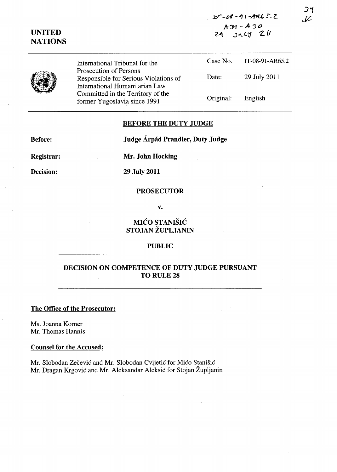$25 - 08 - 91 - AM65 - 2$ A'Y1 -A 'J *<sup>0</sup>*  $24$   $11$   $21$ 

|  | International Tribunal for the                                                                    | Case No.  | IT-08-91-AR65.2 |
|--|---------------------------------------------------------------------------------------------------|-----------|-----------------|
|  | Prosecution of Persons<br>Responsible for Serious Violations of<br>International Humanitarian Law | Date:     | 29 July 2011    |
|  | Committed in the Territory of the<br>former Yugoslavia since 1991                                 | Original: | English         |

#### BEFORE THE DUTY JUDGE

Before:

Judge Árpád Prandler, Duty Judge

Registrar:

UNITED **NATIONS** 

Mr. John Hocking

Decision:

29 July 2011

## PROSECUTOR

v.

# MIĆO STANIŠIĆ STOJAN ŽUPLJANIN

#### PUBLIC

# DECISION ON COMPETENCE OF DUTY JUDGE PURSUANT TO RULE 28

# The Office of the Prosecutor:

Ms. Joanna Korner Mr. Thomas Hannis

#### Counsel for the Accused:

Mr. Slobodan Zečević and Mr. Slobodan Cvijetić for Mićo Stanišić Mr. Dragan Krgović and Mr. Aleksandar Aleksić for Stojan Župljanin

 $J<sub>1</sub>$ J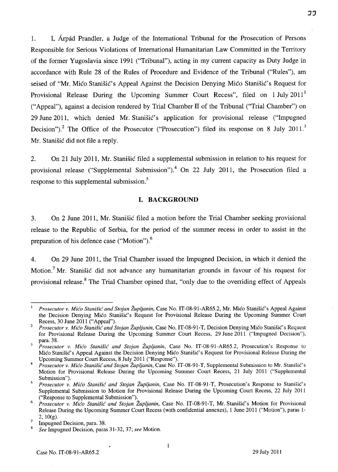1. I, Arpad Prandler, a Judge of the International Tribunal for the Prosecution of Persons Responsible for Serious Violations of International Humanitarian Law Committed in the Territory of the former Yugoslavia since 1991 ("Tribunal"), acting in my current capacity as Duty Judge in accordance with Rule 28 of the Rules of Procedure and Evidence of the Tribunal ("Rules"), am seised of "Mr. Mico Stanišic's Appeal Against the Decision Denying Mico Stanišic's Request for Provisional Release During the Upcoming Summer Court Recess", filed on 1 July 2011<sup>1</sup> ("Appeal"), against a decision rendered by Trial Chamber 11 of the Tribunal ("Trial Chamber") on 29 June 2011, which denied Mr. Stanišić's application for provisional release ("Impugned Decision").<sup>2</sup> The Office of the Prosecutor ("Prosecution") filed its response on 8 July 2011.<sup>3</sup> Mr. Stanisic did not file a reply.

2. On 21 July 2011, Mr. Stanisic filed a supplemental submission in relation to his request for provisional release ("Supplemental Submission").<sup>4</sup> On 22 July 2011, the Prosecution filed a response to this supplemental submission.<sup>5</sup>

#### **I. BACKGROUND**

3. On 2 June 2011, Mr. Stanisic filed a motion before the Trial Chamber seeking provisional release to the Republic of Serbia, for the period of the summer recess in order to assist in the preparation of his defence case ("Motion").<sup>6</sup>

4. On 29 June 2011, the Trial Chamber issued the Impugned Decision, in which it denied the Motion.<sup>7</sup> Mr. Stanišić did not advance any humanitarian grounds in favour of his request for provisional release.<sup>8</sup> The Trial Chamber opined that, "only due to the overriding effect of Appeals

33

*Prosecutor v. Mico Stanisic and Stojan Zupljanin,* Case No. IT-08-91-AR65.2, Mr. Mico Stanisic's Appeal Against the Decision Denying Mico Stanisic's Request for Provisional Release During the Upcoming Summer Court Recess, 30 June 2011 ("Appeal").

<sup>2</sup>*Prosecutor v. Mico Stanisic and Stojan Zupljanin,* Case No. IT-08-91-T, Decision Denying Mico StanisiC's Request for Provisional Release During the Upcoming Summer Court Recess, 29 June 2011 ("Impugned Decision"), para. 38.

<sup>3</sup>*Prosecutor v. Mico Stanisic and Stojan Zupljanin,* Case No. IT-08-91-AR65.2, Prosecution's Response to Mico StaniSic's Appeal Against the Decision Denying Mico Stanisic's Request for Provisional Release During the Upcoming Summer Court Recess, 8 July 2011 ("Response").

<sup>4</sup>*Prosecutor v. Mico Stanisic and Stojan Zupljanin,* Case No. IT-08-91-T, Supplemental Submission to Mr. StanisiC's Motion for Provisional Release During the Upcoming Summer Court Recess, 21 July 2011 ("Supplemental Submission").

Prosecutor v. Mićo Stanišić and Stojan Župljanin, Case No. IT-08-91-T, Prosecution's Response to Stanišić's Supplemental Submission to Motion for Provisional Release During the Upcoming Court Recess, 22 July 2011 ("Response to Supplemental Submission").

Prosecutor v. Mico Stanišic and Stojan Župljanin, Case No. IT-08-91-T, Mr. Stanišic's Motion for Provisional Release During the Upcoming Summer Court Recess (with confidential annexes), 1 June 2011 ("Motion"), paras 1-2, lO(g).

 $\frac{7}{10}$  Impugned Decision, para. 38.

<sup>8 .</sup> *See* Impugned Decision, paras 31-32,37; *see* Motion.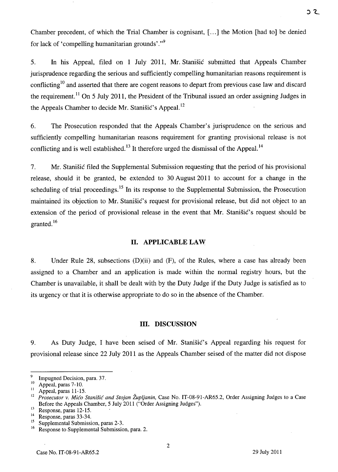Chamber precedent, of which the Trial Chamber is cognisant, [ ... ] the Motion [had to] be denied for lack of 'compelling humanitarian grounds'."<sup>9</sup>

5. In his Appeal, filed on 1 July 2011, Mr. Stanisic submitted that Appeals Chamber jurisprudence regarding the serious and sufficiently compelling humanitarian reasons requirement is conflicting<sup>10</sup> and asserted that there are cogent reasons to depart from previous case law and discard the requirement.<sup>11</sup> On 5 July 2011, the President of the Tribunal issued an order assigning Judges in the Appeals Chamber to decide Mr. Stanisic's Appeal.<sup>12</sup>

6. The Prosecution responded that the Appeals Chamber's jurisprudence on the serious and sufficiently compelling humanitarian reasons requirement for granting provisional release is not conflicting and is well established.<sup>13</sup> It therefore urged the dismissal of the Appeal.<sup>14</sup>

7. Mr. StaniSic filed the Supplemental Submission requesting that the period of his provisional release, should it be granted, be extended to 30 August 2011 to account for a change in the scheduling of trial proceedings.<sup>15</sup> In its response to the Supplemental Submission, the Prosecution maintained its objection to Mr. Stanisic's request for provisional release, but did not object to an extension of the period of provisional release in the event that Mr. Stanisic's request should be granted. 16

#### 11. APPLICABLE LAW

8. Under Rule 28, subsections (D)(ii) and (F), of the Rules, where a case has already been assigned to a Chamber and an application is made within the normal registry hours, but the Chamber is unavailable, it shall be dealt with by the Duty Judge if the Duty Judge is satisfied as to its urgency or that it is otherwise appropriate to do so in the absence of the Chamber.

#### Ill. DISCUSSION

9. As Duty Judge, I have been seised of Mr. Stanistic's Appeal regarding his request for provisional release since 22 July 2011 as the Appeals Chamber seised of the matter did not dispose

<sup>&</sup>lt;sup>9</sup> Impugned Decision, para. 37.

 $^{10}$  Appeal, paras 7-10.

Appeal, paras 11-15.

<sup>&</sup>lt;sup>12</sup> Prosecutor v. Mićo Stanišić and Stojan Župljanin, Case No. IT-08-91-AR65.2, Order Assigning Judges to a Case Before the Appeals Chamber, 5 July 2011 ("Order Assigning Judges").

 $^{13}$  Response, paras 12-15.

 $14$  Response, paras 33-34.

<sup>&</sup>lt;sup>15</sup> Supplemental Submission, paras 2-3.<br><sup>16</sup> Besponse to Supplemental Submission

Response to Supplemental Submission, para. 2.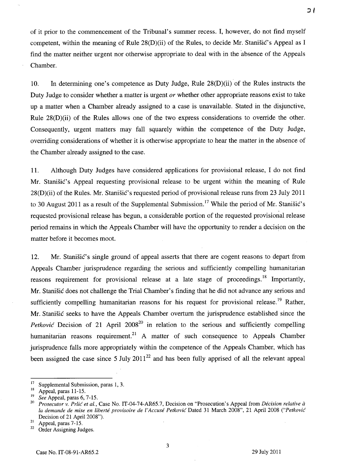of it prior to the commencement of the Tribunal's summer recess. I, however, do not find myself competent, within the meaning of Rule  $28(D)(ii)$  of the Rules, to decide Mr. Stanistic's Appeal as I find the matter neither urgent nor otherwise appropriate to deal with in the absence of the Appeals Chamber.

10. In determining one's competence as Duty Judge, Rule 28(D)(ii) of the Rules instructs the Duty Judge to consider whether a matter is urgent *or* whether other appropriate reasons exist to take up a matter when a Chamber already assigned to a case is unavailable. Stated in the disjunctive, Rule 28(D)(ii) of the Rules allows one of the two express considerations to override the other. Consequently, urgent matters may fall squarely within the competence of the Duty Judge, overriding considerations of whether it is otherwise appropriate to hear the matter in the absence of the Chamber already assigned to the case.

11. Although Duty Judges have considered applications for provisional release, I do not find Mr. Stanišić's Appeal requesting provisional release to be urgent within the meaning of Rule 28(D)(ii) of the Rules. Mr. Stanisic's requested period of provisional release runs from 23 July 2011 to 30 August 2011 as a result of the Supplemental Submission.<sup>17</sup> While the period of Mr. Stanistic's requested provisional release has begun, a considerable portion of the requested provisional release period remains in which the Appeals Chamber will have the opportunity to render a decision on the matter before it becomes moot.

12. Mr. Stanistic's single ground of appeal asserts that there are cogent reasons to depart from Appeals Chamber jurisprudence regarding the serious and sufficiently compelling humanitarian reasons requirement for provisional release at a late stage of proceedings.<sup>18</sup> Importantly, Mr. Stanisic does not challenge the Trial Chamber's finding that he did not advance any serious and sufficiently compelling humanitarian reasons for his request for provisional release.<sup>19</sup> Rather, Mr. Stanisic seeks to have the Appeals Chamber overturn the jurisprudence established since the *Petković* Decision of 21 April 2008<sup>20</sup> in relation to the serious and sufficiently compelling humanitarian reasons requirement.<sup>21</sup> A matter of such consequence to Appeals Chamber jurisprudence falls more appropriately within the competence of the Appeals Chamber, which has been assigned the case since 5 July  $2011^{22}$  and has been fully apprised of all the relevant appeal

3

<sup>&</sup>lt;sup>17</sup> Supplemental Submission, paras 1, 3.<br><sup>18</sup> Appeal paras 11.15

 $\frac{18}{19}$  Appeal, paras 11-15.

<sup>&</sup>lt;sup>19</sup> See Appeal, paras 6, 7-15.<br><sup>20</sup> Programma v. *Pulis* et al.

*<sup>20</sup> Prosecutor* v. *Prlic et al.,* Case No. IT-04-74-AR65.7, Decision on "Prosecution's Appeal from *Decision relative a*  la demande de mise en liberté provisoire de l'Accusé Petković Dated 31 March 2008", 21 April 2008 *("Petković* Decision of 21 April 2008").

 $^{21}$  Appeal, paras 7-15.<br><sup>22</sup> Order Assigning Jue

Order Assigning Judges.